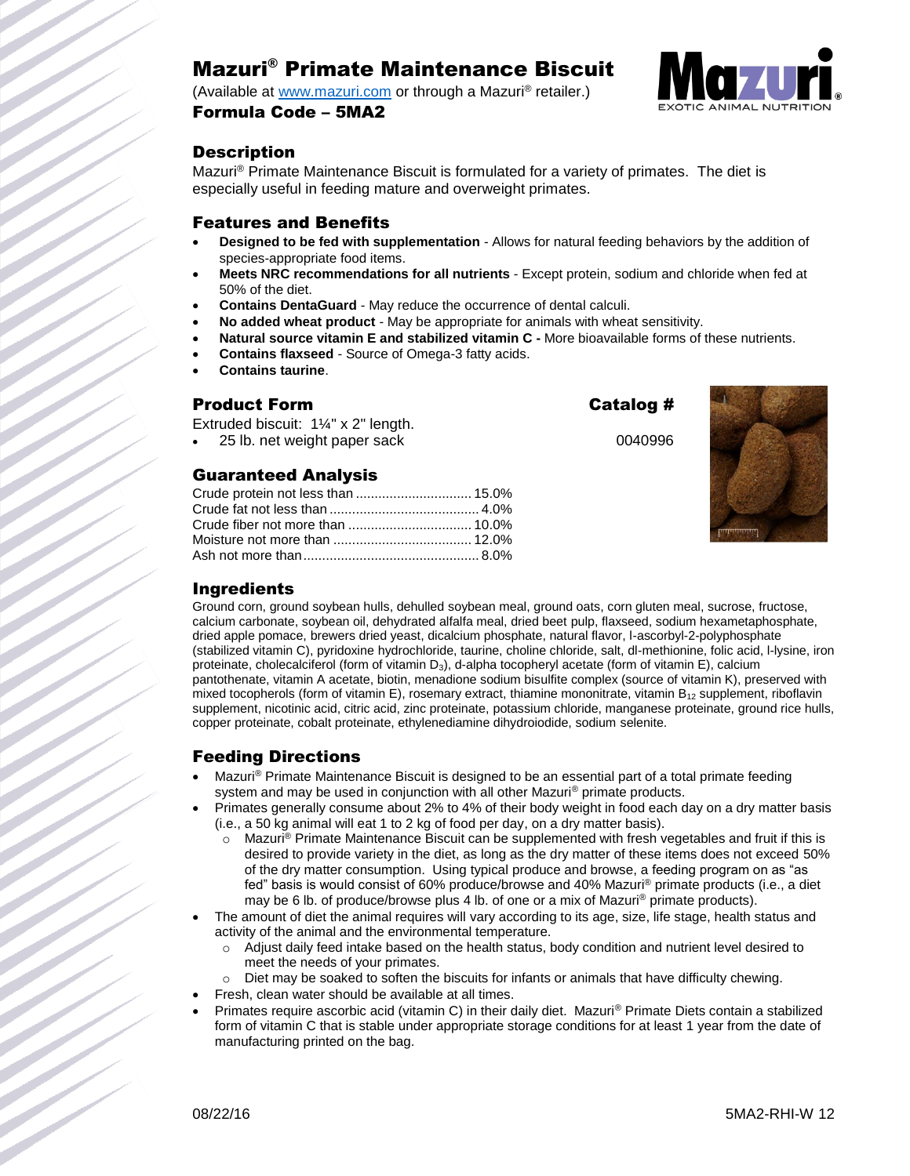# Mazuri® Primate Maintenance Biscuit

(Available at [www.mazuri.com](http://www.mazuri.com/) or through a Mazuri® retailer.) Formula Code – 5MA2



## **Description**

Mazuri® Primate Maintenance Biscuit is formulated for a variety of primates. The diet is especially useful in feeding mature and overweight primates.

#### Features and Benefits

- **Designed to be fed with supplementation**  Allows for natural feeding behaviors by the addition of species-appropriate food items.
- **Meets NRC recommendations for all nutrients** Except protein, sodium and chloride when fed at 50% of the diet.
- **Contains DentaGuard** May reduce the occurrence of dental calculi.
- **No added wheat product** May be appropriate for animals with wheat sensitivity.
- **Natural source vitamin E and stabilized vitamin C -** More bioavailable forms of these nutrients.
- **Contains flaxseed**  Source of Omega-3 fatty acids.
- **Contains taurine**.

#### Product Form Catalog #

Extruded biscuit: 1¼" x 2" length.

25 lb. net weight paper sack 0040996

## Guaranteed Analysis

| Crude protein not less than  15.0% |  |  |
|------------------------------------|--|--|
|                                    |  |  |
|                                    |  |  |
|                                    |  |  |
|                                    |  |  |



## Ingredients

Ground corn, ground soybean hulls, dehulled soybean meal, ground oats, corn gluten meal, sucrose, fructose, calcium carbonate, soybean oil, dehydrated alfalfa meal, dried beet pulp, flaxseed, sodium hexametaphosphate, dried apple pomace, brewers dried yeast, dicalcium phosphate, natural flavor, l-ascorbyl-2-polyphosphate (stabilized vitamin C), pyridoxine hydrochloride, taurine, choline chloride, salt, dl-methionine, folic acid, l-lysine, iron proteinate, cholecalciferol (form of vitamin D<sub>3</sub>), d-alpha tocopheryl acetate (form of vitamin E), calcium pantothenate, vitamin A acetate, biotin, menadione sodium bisulfite complex (source of vitamin K), preserved with mixed tocopherols (form of vitamin E), rosemary extract, thiamine mononitrate, vitamin  $B_{12}$  supplement, riboflavin supplement, nicotinic acid, citric acid, zinc proteinate, potassium chloride, manganese proteinate, ground rice hulls, copper proteinate, cobalt proteinate, ethylenediamine dihydroiodide, sodium selenite.

## Feeding Directions

- Mazuri® Primate Maintenance Biscuit is designed to be an essential part of a total primate feeding system and may be used in conjunction with all other Mazuri<sup>®</sup> primate products.
- Primates generally consume about 2% to 4% of their body weight in food each day on a dry matter basis (i.e., a 50 kg animal will eat 1 to 2 kg of food per day, on a dry matter basis).
	- Mazuri<sup>®</sup> Primate Maintenance Biscuit can be supplemented with fresh vegetables and fruit if this is desired to provide variety in the diet, as long as the dry matter of these items does not exceed 50% of the dry matter consumption. Using typical produce and browse, a feeding program on as "as fed" basis is would consist of 60% produce/browse and 40% Mazuri® primate products (i.e., a diet may be 6 lb. of produce/browse plus 4 lb. of one or a mix of Mazuri® primate products).
- The amount of diet the animal requires will vary according to its age, size, life stage, health status and activity of the animal and the environmental temperature.
	- o Adjust daily feed intake based on the health status, body condition and nutrient level desired to meet the needs of your primates.
	- o Diet may be soaked to soften the biscuits for infants or animals that have difficulty chewing.
	- Fresh, clean water should be available at all times.
- Primates require ascorbic acid (vitamin C) in their daily diet. Mazuri® Primate Diets contain a stabilized form of vitamin C that is stable under appropriate storage conditions for at least 1 year from the date of manufacturing printed on the bag.